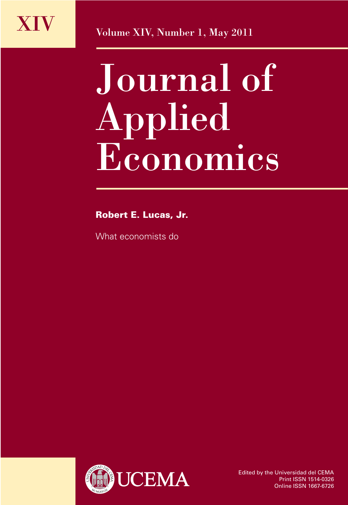

XIV Volume XIV, Number 1, May 2011

## Journal of Applied Economics

Robert E. Lucas, Jr.

What economists do



Edited by the Universidad del CEMA Print ISSN 1514-0326 Online ISSN 1667-6726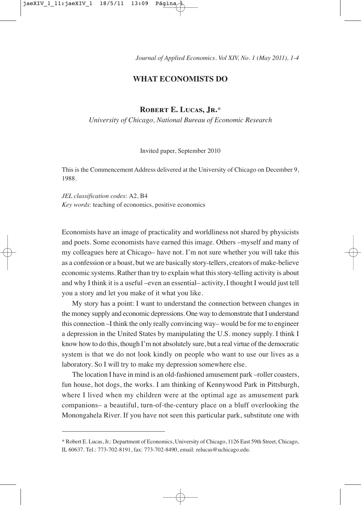*Journal of Applied Economics. Vol XIV, No. 1 (May 2011), 1-4*

## **WHAT ECONOMISTS DO**

## **Robert E. Lucas, Jr.**\*

*University of Chicago, National Bureau of Economic Research*

Invited paper, September 2010

This is the Commencement Address delivered at the University of Chicago on December 9, 1988.

*JEL classification codes*: A2, B4 *Key words*: teaching of economics, positive economics

Economists have an image of practicality and worldliness not shared by physicists and poets. Some economists have earned this image. Others –myself and many of my colleagues here at Chicago– have not. I'm not sure whether you will take this as a confession or a boast, but we are basically story-tellers, creators of make-believe economic systems. Rather than try to explain what this story-telling activity is about and why I think it is a useful –even an essential– activity, I thought I would just tell you a story and let you make of it what you like.

My story has a point: I want to understand the connection between changes in the money supply and economic depressions. One way to demonstrate that I understand this connection –I think the only really convincing way– would be for me to engineer a depression in the United States by manipulating the U.S. money supply. I think I know how to do this, though I'm not absolutely sure, but a real virtue of the democratic system is that we do not look kindly on people who want to use our lives as a laboratory. So I will try to make my depression somewhere else.

The location I have in mind is an old-fashioned amusement park –roller coasters, fun house, hot dogs, the works. I am thinking of Kennywood Park in Pittsburgh, where I lived when my children were at the optimal age as amusement park companions– a beautiful, turn-of-the-century place on a bluff overlooking the Monongahela River. If you have not seen this particular park, substitute one with

<sup>\*</sup> Robert E. Lucas, Jr.: Department of Economics, University of Chicago, 1126 East 59th Street, Chicago, IL 60637. Tel.: 773-702-8191, fax: 773-702-8490, email: relucas@uchicago.edu.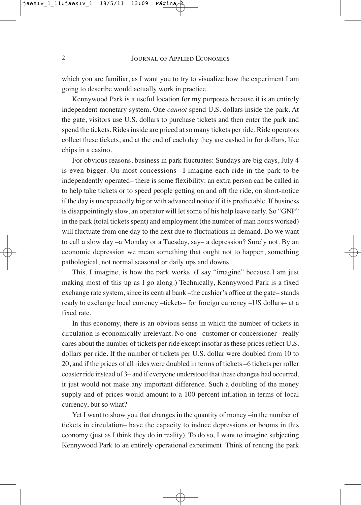which you are familiar, as I want you to try to visualize how the experiment I am going to describe would actually work in practice.

Kennywood Park is a useful location for my purposes because it is an entirely independent monetary system. One *cannot* spend U.S. dollars inside the park. At the gate, visitors use U.S. dollars to purchase tickets and then enter the park and spend the tickets. Rides inside are priced at so many tickets per ride. Ride operators collect these tickets, and at the end of each day they are cashed in for dollars, like chips in a casino.

For obvious reasons, business in park fluctuates: Sundays are big days, July 4 is even bigger. On most concessions –I imagine each ride in the park to be independently operated– there is some flexibility: an extra person can be called in to help take tickets or to speed people getting on and off the ride, on short-notice if the day is unexpectedly big or with advanced notice if it is predictable. If business is disappointingly slow, an operator will let some of his help leave early. So "GNP" in the park (total tickets spent) and employment (the number of man hours worked) will fluctuate from one day to the next due to fluctuations in demand. Do we want to call a slow day –a Monday or a Tuesday, say– a depression? Surely not. By an economic depression we mean something that ought not to happen, something pathological, not normal seasonal or daily ups and downs.

This, I imagine, is how the park works. (I say "imagine" because I am just making most of this up as I go along.) Technically, Kennywood Park is a fixed exchange rate system, since its central bank –the cashier's office at the gate– stands ready to exchange local currency –tickets– for foreign currency –US dollars– at a fixed rate.

In this economy, there is an obvious sense in which the number of tickets in circulation is economically irrelevant. No-one –customer or concessioner– really cares about the number of tickets per ride except insofar as these prices reflect U.S. dollars per ride. If the number of tickets per U.S. dollar were doubled from 10 to 20, and if the prices of all rides were doubled in terms of tickets –6 tickets per roller coaster ride instead of 3– and if everyone understood that these changes had occurred, it just would not make any important difference. Such a doubling of the money supply and of prices would amount to a 100 percent inflation in terms of local currency, but so what?

Yet I want to show you that changes in the quantity of money –in the number of tickets in circulation– have the capacity to induce depressions or booms in this economy (just as I think they do in reality). To do so, I want to imagine subjecting Kennywood Park to an entirely operational experiment. Think of renting the park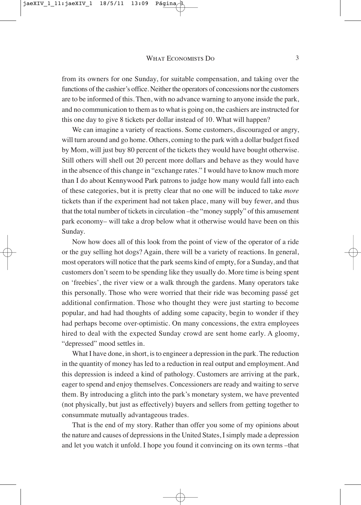from its owners for one Sunday, for suitable compensation, and taking over the functions of the cashier's office. Neither the operators of concessions nor the customers are to be informed of this. Then, with no advance warning to anyone inside the park, and no communication to them as to what is going on, the cashiers are instructed for this one day to give 8 tickets per dollar instead of 10. What will happen?

We can imagine a variety of reactions. Some customers, discouraged or angry, will turn around and go home. Others, coming to the park with a dollar budget fixed by Mom, will just buy 80 percent of the tickets they would have bought otherwise. Still others will shell out 20 percent more dollars and behave as they would have in the absence of this change in "exchange rates." I would have to know much more than I do about Kennywood Park patrons to judge how many would fall into each of these categories, but it is pretty clear that no one will be induced to take *more* tickets than if the experiment had not taken place, many will buy fewer, and thus that the total number of tickets in circulation –the "money supply" of this amusement park economy– will take a drop below what it otherwise would have been on this Sunday.

Now how does all of this look from the point of view of the operator of a ride or the guy selling hot dogs? Again, there will be a variety of reactions. In general, most operators will notice that the park seems kind of empty, for a Sunday, and that customers don't seem to be spending like they usually do. More time is being spent on 'freebies', the river view or a walk through the gardens. Many operators take this personally. Those who were worried that their ride was becoming passé get additional confirmation. Those who thought they were just starting to become popular, and had had thoughts of adding some capacity, begin to wonder if they had perhaps become over-optimistic. On many concessions, the extra employees hired to deal with the expected Sunday crowd are sent home early. A gloomy, "depressed" mood settles in.

What I have done, in short, is to engineer a depression in the park. The reduction in the quantity of money has led to a reduction in real output and employment. And this depression is indeed a kind of pathology. Customers are arriving at the park, eager to spend and enjoy themselves. Concessioners are ready and waiting to serve them. By introducing a glitch into the park's monetary system, we have prevented (not physically, but just as effectively) buyers and sellers from getting together to consummate mutually advantageous trades.

That is the end of my story. Rather than offer you some of my opinions about the nature and causes of depressions in the United States, I simply made a depression and let you watch it unfold. I hope you found it convincing on its own terms –that